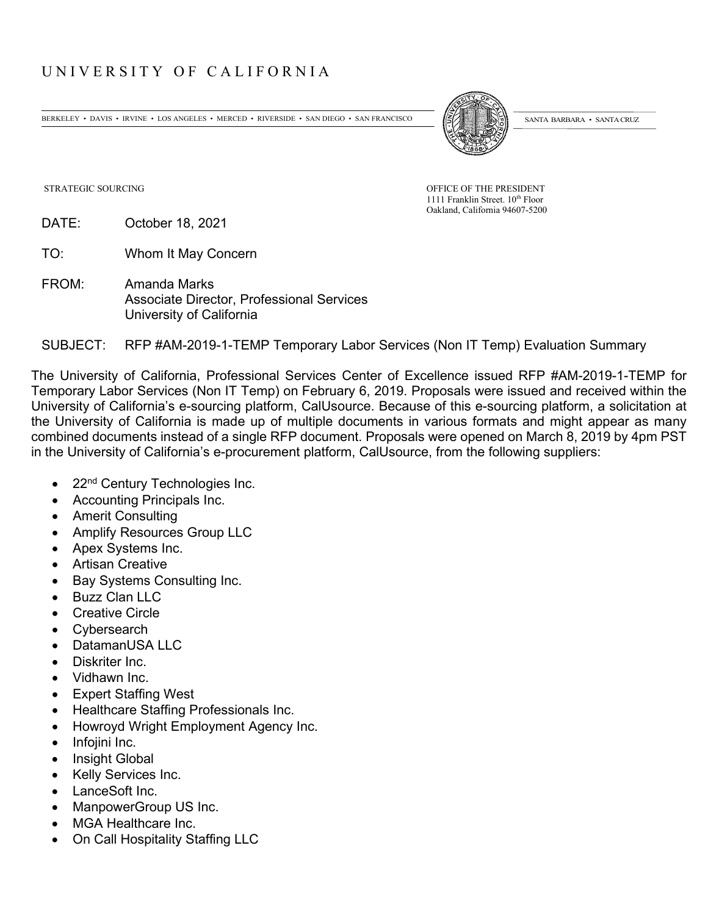## UNIVERSITY OF CALIFORNIA

BERKELEY • DAVIS • IRVINE • LOS ANGELES • MERCED • RIVERSIDE • SAN DIEGO • SAN FRANCISCO (SANTA BARBARA • SANTA CRUZ



STRATEGIC SOURCING OF THE PRESIDENT STRATEGIC SOURCING

1111 Franklin Street. 10<sup>th</sup> Floor Oakland, California 94607-5200

DATE: October 18, 2021

TO: Whom It May Concern

FROM: Amanda Marks Associate Director, Professional Services University of California

## SUBJECT: RFP #AM-2019-1-TEMP Temporary Labor Services (Non IT Temp) Evaluation Summary

The University of California, Professional Services Center of Excellence issued RFP #AM-2019-1-TEMP for Temporary Labor Services (Non IT Temp) on February 6, 2019. Proposals were issued and received within the University of California's e-sourcing platform, CalUsource. Because of this e-sourcing platform, a solicitation at the University of California is made up of multiple documents in various formats and might appear as many combined documents instead of a single RFP document. Proposals were opened on March 8, 2019 by 4pm PST in the University of California's e-procurement platform, CalUsource, from the following suppliers:

- 22<sup>nd</sup> Century Technologies Inc.
- Accounting Principals Inc.
- Amerit Consulting
- Amplify Resources Group LLC
- Apex Systems Inc.
- Artisan Creative
- Bay Systems Consulting Inc.
- Buzz Clan LLC
- Creative Circle
- Cybersearch
- DatamanUSA LLC
- Diskriter Inc.
- Vidhawn Inc.
- Expert Staffing West
- Healthcare Staffing Professionals Inc.
- Howroyd Wright Employment Agency Inc.
- Infojini Inc.
- Insight Global
- Kelly Services Inc.
- LanceSoft Inc.
- ManpowerGroup US Inc.
- MGA Healthcare Inc.
- On Call Hospitality Staffing LLC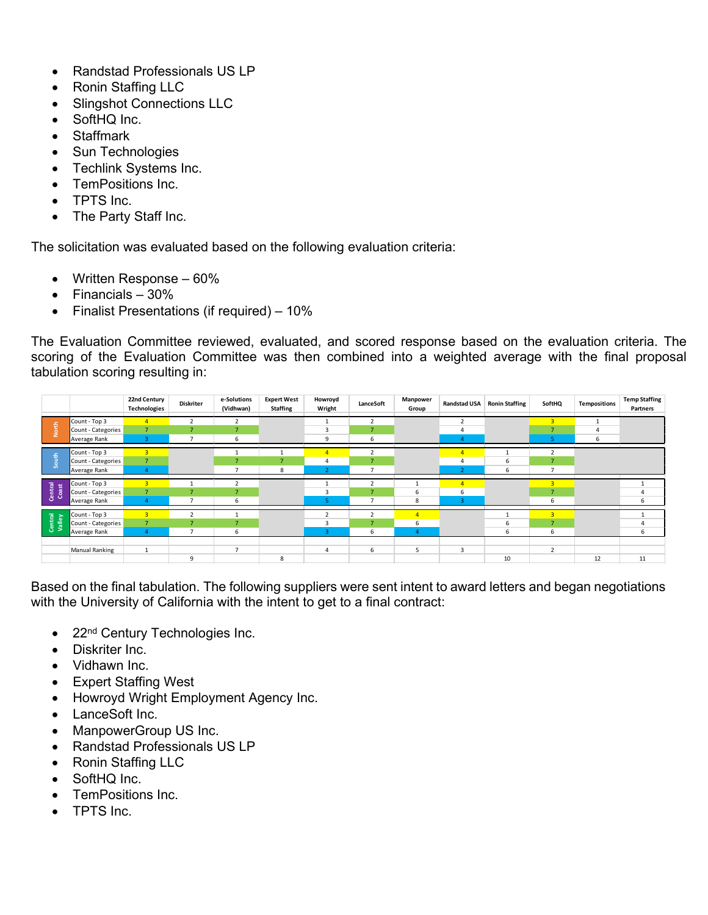- Randstad Professionals US LP
- Ronin Staffing LLC
- Slingshot Connections LLC
- SoftHQ Inc.
- Staffmark
- Sun Technologies
- Techlink Systems Inc.
- TemPositions Inc.
- TPTS Inc.
- The Party Staff Inc.

The solicitation was evaluated based on the following evaluation criteria:

- Written Response 60%
- Financials 30%
- Finalist Presentations (if required) 10%

The Evaluation Committee reviewed, evaluated, and scored response based on the evaluation criteria. The scoring of the Evaluation Committee was then combined into a weighted average with the final proposal tabulation scoring resulting in:



Based on the final tabulation. The following suppliers were sent intent to award letters and began negotiations with the University of California with the intent to get to a final contract:

- 22<sup>nd</sup> Century Technologies Inc.
- Diskriter Inc.
- Vidhawn Inc.
- Expert Staffing West
- Howroyd Wright Employment Agency Inc.
- LanceSoft Inc.
- ManpowerGroup US Inc.
- Randstad Professionals US LP
- Ronin Staffing LLC
- SoftHQ Inc.
- TemPositions Inc.
- TPTS Inc.